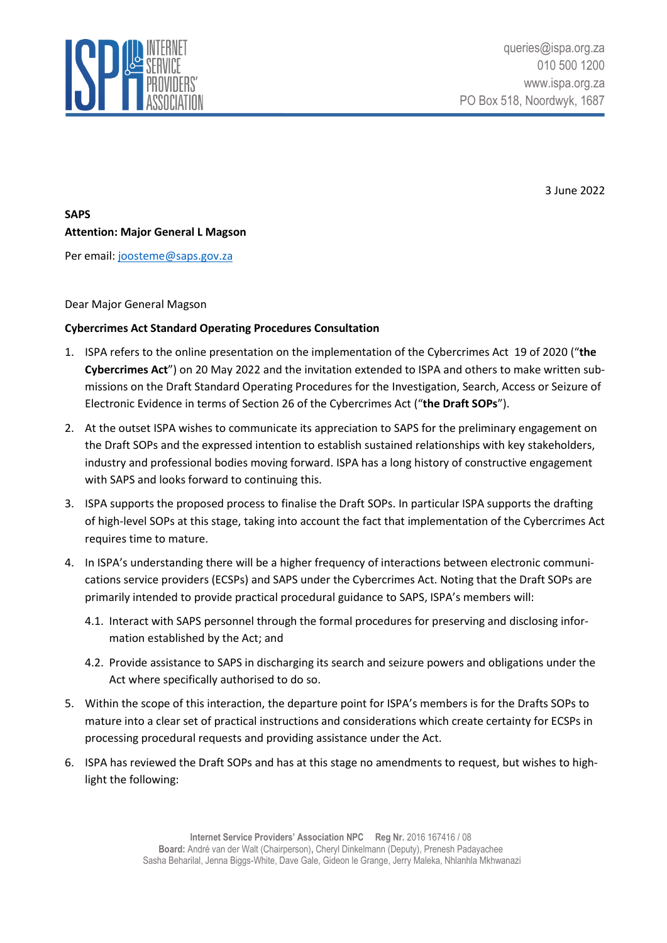

3 June 2022

**SAPS Attention: Major General L Magson**

Per email: [joosteme@saps.gov.za](mailto:joosteme@saps.gov.za)

## Dear Major General Magson

## **Cybercrimes Act Standard Operating Procedures Consultation**

- 1. ISPA refers to the online presentation on the implementation of the Cybercrimes Act 19 of 2020 ("**the Cybercrimes Act**") on 20 May 2022 and the invitation extended to ISPA and others to make written submissions on the Draft Standard Operating Procedures for the Investigation, Search, Access or Seizure of Electronic Evidence in terms of Section 26 of the Cybercrimes Act ("**the Draft SOPs**").
- 2. At the outset ISPA wishes to communicate its appreciation to SAPS for the preliminary engagement on the Draft SOPs and the expressed intention to establish sustained relationships with key stakeholders, industry and professional bodies moving forward. ISPA has a long history of constructive engagement with SAPS and looks forward to continuing this.
- 3. ISPA supports the proposed process to finalise the Draft SOPs. In particular ISPA supports the drafting of high-level SOPs at this stage, taking into account the fact that implementation of the Cybercrimes Act requires time to mature.
- 4. In ISPA's understanding there will be a higher frequency of interactions between electronic communications service providers (ECSPs) and SAPS under the Cybercrimes Act. Noting that the Draft SOPs are primarily intended to provide practical procedural guidance to SAPS, ISPA's members will:
	- 4.1. Interact with SAPS personnel through the formal procedures for preserving and disclosing information established by the Act; and
	- 4.2. Provide assistance to SAPS in discharging its search and seizure powers and obligations under the Act where specifically authorised to do so.
- 5. Within the scope of this interaction, the departure point for ISPA's members is for the Drafts SOPs to mature into a clear set of practical instructions and considerations which create certainty for ECSPs in processing procedural requests and providing assistance under the Act.
- 6. ISPA has reviewed the Draft SOPs and has at this stage no amendments to request, but wishes to highlight the following: